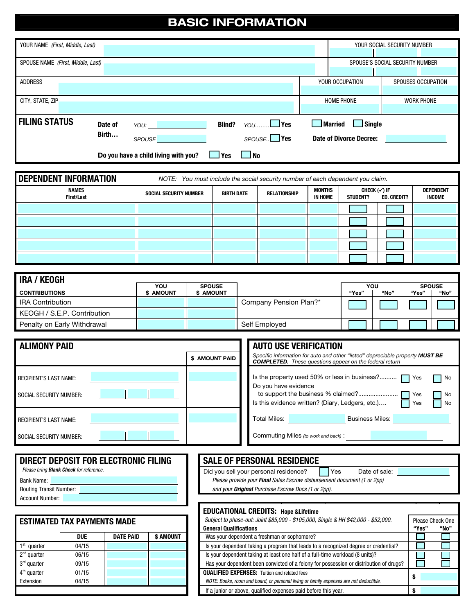## BASIC INFORMATION

| YOUR NAME (First, Middle, Last)   |         |                                      |               |                                                                                                      | YOUR SOCIAL SECURITY NUMBER |                    |  |
|-----------------------------------|---------|--------------------------------------|---------------|------------------------------------------------------------------------------------------------------|-----------------------------|--------------------|--|
|                                   |         |                                      |               |                                                                                                      |                             |                    |  |
| SPOUSE NAME (First, Middle, Last) |         |                                      |               | SPOUSE'S SOCIAL SECURITY NUMBER                                                                      |                             |                    |  |
|                                   |         |                                      |               |                                                                                                      |                             |                    |  |
| <b>ADDRESS</b>                    |         |                                      |               |                                                                                                      | YOUR OCCUPATION             | SPOUSES OCCUPATION |  |
|                                   |         |                                      |               |                                                                                                      |                             |                    |  |
| CITY, STATE, ZIP                  |         |                                      |               |                                                                                                      | <b>HOME PHONE</b>           | <b>WORK PHONE</b>  |  |
|                                   |         |                                      |               |                                                                                                      |                             |                    |  |
| <b>FILING STATUS</b>              | Date of | YOU:                                 | <b>Blind?</b> | $\gamma$ <sup><math>\gamma</math></sup> $\alpha$ $\beta$ $\gamma$ $\beta$ $\gamma$ $\gamma$ $\gamma$ | Single<br><b>Married</b>    |                    |  |
|                                   | Birth   | <b>SPOUSE</b>                        |               | SPOUSE. <sup>Nes</sup>                                                                               | Date of Divorce Decree:     |                    |  |
|                                   |         | Do you have a child living with you? | Yes           | <b>J</b> No                                                                                          |                             |                    |  |

| <b>DEPENDENT INFORMATION</b> | NOTE: You must include the social security number of each dependent you claim. |                   |              |                   |                 |                                                                      |  |  |  |  |
|------------------------------|--------------------------------------------------------------------------------|-------------------|--------------|-------------------|-----------------|----------------------------------------------------------------------|--|--|--|--|
| <b>NAMES</b><br>First/Last   | <b>SOCIAL SECURITY NUMBER</b>                                                  | <b>BIRTH DATE</b> | RELATIONSHIP | MONTHS<br>IN HOME | <b>STUDENT?</b> | CHECK $(\checkmark)$ if<br><b>DEPENDENT</b><br>INCOME<br>ED. CREDIT? |  |  |  |  |
|                              |                                                                                |                   |              |                   |                 |                                                                      |  |  |  |  |
|                              |                                                                                |                   |              |                   |                 |                                                                      |  |  |  |  |
|                              |                                                                                |                   |              |                   |                 |                                                                      |  |  |  |  |
|                              |                                                                                |                   |              |                   |                 |                                                                      |  |  |  |  |
|                              |                                                                                |                   |              |                   |                 |                                                                      |  |  |  |  |

| I IRA / KEOGH               |           |                  |                        |       |      |               |      |
|-----------------------------|-----------|------------------|------------------------|-------|------|---------------|------|
|                             | YOU       | <b>SPOUSE</b>    |                        |       | ΥΟU  | <b>SPOUSE</b> |      |
| <b>CONTRIBUTIONS</b>        | \$ AMOUNT | <b>\$ AMOUNT</b> |                        | "Yes" | "No" | "Yes"         | "No" |
| <b>IRA Contribution</b>     |           |                  | Company Pension Plan?* |       |      |               |      |
| KEOGH / S.E.P. Contribution |           |                  |                        |       |      |               |      |
| Penalty on Early Withdrawal |           |                  | Self Employed          |       |      |               |      |

| <b>ALIMONY PAID</b>                                      |                | <b>AUTO USE VERIFICATION</b>                                                                                                                                              |  |  |  |
|----------------------------------------------------------|----------------|---------------------------------------------------------------------------------------------------------------------------------------------------------------------------|--|--|--|
|                                                          | \$ AMOUNT PAID | Specific information for auto and other "listed" depreciable property MUST BE<br><b>COMPLETED.</b> These questions appear on the federal return                           |  |  |  |
| <b>RECIPIENT'S LAST NAME:</b><br>SOCIAL SECURITY NUMBER: |                | Is the property used 50% or less in business?   Yes<br>$\blacksquare$ No<br>Do you have evidence<br>l No<br>Is this evidence written? (Diary, Ledgers, etc.)<br>No<br>Yes |  |  |  |
| <b>RECIPIENT'S LAST NAME:</b>                            |                | Total Miles:<br><b>Business Miles:</b>                                                                                                                                    |  |  |  |
| SOCIAL SECURITY NUMBER:                                  |                | Commuting Miles (to work and back):                                                                                                                                       |  |  |  |

|                                                                                       |                                                |                                      |                  |                               | is this evidence written: (Diary, Leugers, etc.)<br>II res<br><b>1 IVO</b>                             |  |
|---------------------------------------------------------------------------------------|------------------------------------------------|--------------------------------------|------------------|-------------------------------|--------------------------------------------------------------------------------------------------------|--|
| <b>RECIPIENT'S LAST NAME:</b>                                                         |                                                |                                      |                  |                               | <b>Business Miles:</b><br>Total Miles:                                                                 |  |
| SOCIAL SECURITY NUMBER:                                                               |                                                |                                      |                  |                               | Commuting Miles (to work and back):                                                                    |  |
|                                                                                       | Please bring <b>Blank Check</b> for reference. | DIRECT DEPOSIT FOR ELECTRONIC FILING |                  |                               | <b>SALE OF PERSONAL RESIDENCE</b><br>Yes<br>Did you sell your personal residence?<br>Date of sale:     |  |
| Please provide your Final Sales Escrow disbursement document (1 or 2pp)<br>Bank Name: |                                                |                                      |                  |                               |                                                                                                        |  |
| <b>Routing Transit Number:</b>                                                        |                                                |                                      |                  |                               | and your <b>Original</b> Purchase Escrow Docs (1 or 2pp).                                              |  |
| <b>Account Number:</b>                                                                |                                                |                                      |                  |                               |                                                                                                        |  |
|                                                                                       |                                                |                                      |                  |                               | <b>EDUCATIONAL CREDITS: Hope &amp; Lifetime</b>                                                        |  |
|                                                                                       | <b>ESTIMATED TAX PAYMENTS MADE</b>             |                                      |                  |                               | Subject to phase-out: Joint \$85,000 - \$105,000, Single & HH \$42,000 - \$52,000.<br>Please Check One |  |
|                                                                                       |                                                |                                      |                  | <b>General Qualifications</b> | "Yes"<br>"No"                                                                                          |  |
|                                                                                       | <b>DUE</b>                                     | <b>DATE PAID</b>                     | <b>\$ AMOUNT</b> |                               | Was your dependent a freshman or sophomore?                                                            |  |
| 1 <sup>st</sup> quarter                                                               | 04/15                                          |                                      |                  |                               | Is your dependent taking a program that leads to a recognized degree or credential?                    |  |
| $2nd$ quarter                                                                         | 06/15                                          |                                      |                  |                               | Is your dependent taking at least one half of a full-time workload (8 units)?                          |  |
| 3rd quarter                                                                           | 09/15                                          |                                      |                  |                               | Has your dependent been convicted of a felony for possession or distribution of drugs?                 |  |
| $4th$ quarter                                                                         | 01/15                                          |                                      |                  |                               | <b>QUALIFIED EXPENSES:</b> Tuition and related fees                                                    |  |
| Extension                                                                             | 04/15                                          |                                      |                  |                               | NOTE: Books, room and board, or personal living or family expenses are not deductible.                 |  |

If a junior or above, qualified expenses paid before this year.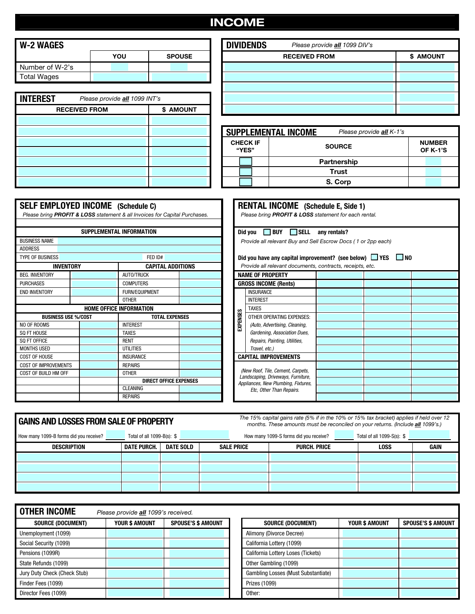# INCOME

| W-2 WAGES       |     |               | <b>DIVIDENDS</b> | Please provide all 1099 DIV's |
|-----------------|-----|---------------|------------------|-------------------------------|
|                 | YOU | <b>SPOUSE</b> |                  | <b>RECEIVED FROM</b>          |
| Number of W-2's |     |               |                  |                               |
| Total Wages     |     |               |                  |                               |
|                 |     |               |                  |                               |

| <b>INTEREST</b> | Please provide <b>all</b> 1099 INT's |           |  |  |  |  |  |  |
|-----------------|--------------------------------------|-----------|--|--|--|--|--|--|
|                 | <b>RECEIVED FROM</b>                 | \$ AMOUNT |  |  |  |  |  |  |
|                 |                                      |           |  |  |  |  |  |  |
|                 |                                      |           |  |  |  |  |  |  |
|                 |                                      |           |  |  |  |  |  |  |
|                 |                                      |           |  |  |  |  |  |  |
|                 |                                      |           |  |  |  |  |  |  |
|                 |                                      |           |  |  |  |  |  |  |
|                 |                                      |           |  |  |  |  |  |  |

|                           |               | <b>DIVIDENDS</b><br>Please provide all 1099 DIV's |           |
|---------------------------|---------------|---------------------------------------------------|-----------|
| YOU                       | <b>SPOUSE</b> | <b>RECEIVED FROM</b>                              | \$ AMOUNT |
|                           |               |                                                   |           |
|                           |               |                                                   |           |
|                           |               |                                                   |           |
| ide <b>all</b> 1099 INT's |               |                                                   |           |
|                           | \$ AMOUNT     |                                                   |           |
|                           |               |                                                   |           |

|                          | <b>SUPPLEMENTAL INCOME</b><br>Please provide all K-1's |                           |  |
|--------------------------|--------------------------------------------------------|---------------------------|--|
| <b>CHECK IF</b><br>"YES" | <b>SOURCE</b>                                          | <b>NUMBER</b><br>OF K-1'S |  |
|                          | <b>Partnership</b>                                     |                           |  |
|                          | <b>Trust</b>                                           |                           |  |
|                          | S. Corp                                                |                           |  |

| <b>SELF EMPLOYED INCOME</b> (Schedule C) |                                                                            |          | <b>RENTAL INCOME</b> (Schedule E, Side 1)                               |              |  |
|------------------------------------------|----------------------------------------------------------------------------|----------|-------------------------------------------------------------------------|--------------|--|
|                                          | Please bring PROFIT & LOSS statement & all Invoices for Capital Purchases. |          | Please bring PROFIT & LOSS statement for each rental.                   |              |  |
|                                          |                                                                            |          |                                                                         |              |  |
|                                          | SUPPLEMENTAL INFORMATION                                                   |          | <b>BUY SELL</b><br>Did you                                              | any rentals? |  |
| <b>BUSINESS NAME</b>                     |                                                                            |          | Provide all relevant Buy and Sell Escrow Docs (1 or 2pp each)           |              |  |
| <b>ADDRESS</b>                           |                                                                            |          |                                                                         |              |  |
| <b>TYPE OF BUSINESS</b>                  | FED ID#                                                                    |          | Did you have any capital improvement? (see below) $\Box$ YES $\Box$ NO  |              |  |
| <b>INVENTORY</b>                         | <b>CAPITAL ADDITIONS</b>                                                   |          | Provide all relevant documents, contracts, receipts, etc.               |              |  |
| <b>BEG. INVENTORY</b>                    | <b>AUTO/TRUCK</b>                                                          |          | <b>NAME OF PROPERTY</b>                                                 |              |  |
| <b>PURCHASES</b>                         | <b>COMPUTERS</b>                                                           |          | <b>GROSS INCOME (Rents)</b>                                             |              |  |
| <b>END INVENTORY</b>                     | FURN/EQUIPMENT                                                             |          | <b>INSURANCE</b>                                                        |              |  |
|                                          | <b>OTHER</b>                                                               |          | <b>INTEREST</b>                                                         |              |  |
|                                          | <b>HOME OFFICE INFORMATION</b>                                             |          | <b>TAXES</b>                                                            |              |  |
| <b>BUSINESS USE %/COST</b>               | <b>TOTAL EXPENSES</b>                                                      | EXPENSES | OTHER OPERATING EXPENSES:                                               |              |  |
| NO OF ROOMS                              | <b>INTEREST</b>                                                            |          | (Auto, Advertising, Cleaning,                                           |              |  |
| SQ FT HOUSE                              | <b>TAXES</b>                                                               |          | Gardening, Association Dues,                                            |              |  |
| SO FT OFFICE                             | <b>RENT</b>                                                                |          | Repairs, Painting, Utilities,                                           |              |  |
| <b>MONTHS USED</b>                       | <b>UTILITIES</b>                                                           |          | Travel, etc.)                                                           |              |  |
| <b>COST OF HOUSE</b>                     | <b>INSURANCE</b>                                                           |          | <b>CAPITAL IMPROVEMENTS</b>                                             |              |  |
| <b>COST OF IMPROVEMENTS</b>              | <b>REPAIRS</b>                                                             |          |                                                                         |              |  |
| COST OF BUILD HM OFF                     | <b>OTHER</b>                                                               |          | (New Roof, Tile, Cement, Carpets,<br>Landscaping, Driveways, Furniture, |              |  |
|                                          | <b>DIRECT OFFICE EXPENSES</b>                                              |          | Appliances, New Plumbing, Fixtures,                                     |              |  |
|                                          | <b>CLEANING</b>                                                            |          | Etc. Other Than Repairs.                                                |              |  |
|                                          | <b>REPAIRS</b>                                                             |          |                                                                         |              |  |

|          | <b>RENTAL INCOME</b> (Schedule E, Side 1)<br>Please bring PROFIT & LOSS statement for each rental.                                  |              |  |  |  |  |  |  |  |
|----------|-------------------------------------------------------------------------------------------------------------------------------------|--------------|--|--|--|--|--|--|--|
|          | <b>BUY SELL</b><br>Did you                                                                                                          | any rentals? |  |  |  |  |  |  |  |
|          | Provide all relevant Buy and Sell Escrow Docs (1 or 2pp each)                                                                       |              |  |  |  |  |  |  |  |
|          | Did you have any capital improvement? (see below) $\Box$ YES<br>- I NO<br>Provide all relevant documents, contracts, receipts, etc. |              |  |  |  |  |  |  |  |
|          | <b>NAME OF PROPERTY</b>                                                                                                             |              |  |  |  |  |  |  |  |
|          | <b>GROSS INCOME (Rents)</b>                                                                                                         |              |  |  |  |  |  |  |  |
|          | <b>INSURANCE</b>                                                                                                                    |              |  |  |  |  |  |  |  |
|          | <b>INTEREST</b>                                                                                                                     |              |  |  |  |  |  |  |  |
|          | <b>TAXES</b>                                                                                                                        |              |  |  |  |  |  |  |  |
| EXPENSES | OTHER OPERATING EXPENSES:                                                                                                           |              |  |  |  |  |  |  |  |
|          | (Auto, Advertising, Cleaning,                                                                                                       |              |  |  |  |  |  |  |  |
|          | Gardening, Association Dues,                                                                                                        |              |  |  |  |  |  |  |  |
|          | Repairs, Painting, Utilities,                                                                                                       |              |  |  |  |  |  |  |  |
|          | Travel, etc.)                                                                                                                       |              |  |  |  |  |  |  |  |
|          | <b>CAPITAL IMPROVEMENTS</b>                                                                                                         |              |  |  |  |  |  |  |  |
|          |                                                                                                                                     |              |  |  |  |  |  |  |  |
|          | (New Roof, Tile, Cement, Carpets,<br>Landscaping, Driveways, Furniture,                                                             |              |  |  |  |  |  |  |  |
|          | Appliances, New Plumbing, Fixtures,                                                                                                 |              |  |  |  |  |  |  |  |
|          | Etc. Other Than Repairs.                                                                                                            |              |  |  |  |  |  |  |  |
|          |                                                                                                                                     |              |  |  |  |  |  |  |  |

| <b>GAINS AND LOSSES FROM SALE OF PROPERTY</b> |                               |                  |  | The 15% capital gains rate (5% if in the 10% or 15% tax bracket) applies if held over 12<br>months. These amounts must be reconciled on your returns. (Include all 1099's.) |                                        |             |                               |             |
|-----------------------------------------------|-------------------------------|------------------|--|-----------------------------------------------------------------------------------------------------------------------------------------------------------------------------|----------------------------------------|-------------|-------------------------------|-------------|
| How many 1099-B forms did you receive?        | Total of all $1099-B(s)$ : \$ |                  |  |                                                                                                                                                                             | How many 1099-S forms did you receive? |             | Total of all $1099-S(s)$ : \$ |             |
| DESCRIPTION                                   | <b>DATE PURCH.</b>            | <b>DATE SOLD</b> |  | <b>SALE PRICE</b><br><b>PURCH. PRICE</b>                                                                                                                                    |                                        | <b>LOSS</b> |                               | <b>GAIN</b> |
|                                               |                               |                  |  |                                                                                                                                                                             |                                        |             |                               |             |
|                                               |                               |                  |  |                                                                                                                                                                             |                                        |             |                               |             |
|                                               |                               |                  |  |                                                                                                                                                                             |                                        |             |                               |             |
|                                               |                               |                  |  |                                                                                                                                                                             |                                        |             |                               |             |

| <b>OTHER INCOME</b>          | Please provide <b>all</b> 1099's received. |                           |                                     |
|------------------------------|--------------------------------------------|---------------------------|-------------------------------------|
| <b>SOURCE (DOCUMENT)</b>     | <b>YOUR \$ AMOUNT</b>                      | <b>SPOUSE'S \$ AMOUNT</b> | <b>SOURCE (DOCUMENT)</b>            |
| Unemployment (1099)          |                                            |                           | Alimony (Divorce Decree)            |
| Social Security (1099)       |                                            |                           | California Lottery (1099)           |
| Pensions (1099R)             |                                            |                           | California Lottery Loses (Tickets)  |
| State Refunds (1099)         |                                            |                           | Other Gambling (1099)               |
| Jury Duty Check (Check Stub) |                                            |                           | Gambling Losses (Must Substantiate) |
| Finder Fees (1099)           |                                            |                           | Prizes (1099)                       |
| Director Fees (1099)         |                                            |                           | Other:                              |

| ER INCOME<br>Please provide all 1099's received. |                |                           |  |                                     |                       |                           |
|--------------------------------------------------|----------------|---------------------------|--|-------------------------------------|-----------------------|---------------------------|
| <b>Source (Document)</b>                         | YOUR \$ AMOUNT | <b>SPOUSE'S \$ AMOUNT</b> |  | <b>SOURCE (DOCUMENT)</b>            | <b>YOUR \$ AMOUNT</b> | <b>SPOUSE'S \$ AMOUNT</b> |
| oloyment (1099)                                  |                |                           |  | Alimony (Divorce Decree)            |                       |                           |
| Security (1099)                                  |                |                           |  | California Lottery (1099)           |                       |                           |
| ns (1099R)                                       |                |                           |  | California Lottery Loses (Tickets)  |                       |                           |
| Refunds (1099)                                   |                |                           |  | Other Gambling (1099)               |                       |                           |
| uty Check (Check Stub)                           |                |                           |  | Gambling Losses (Must Substantiate) |                       |                           |
| Fees (1099)                                      |                |                           |  | Prizes (1099)                       |                       |                           |
| or Fees (1099)                                   |                |                           |  | Other:                              |                       |                           |